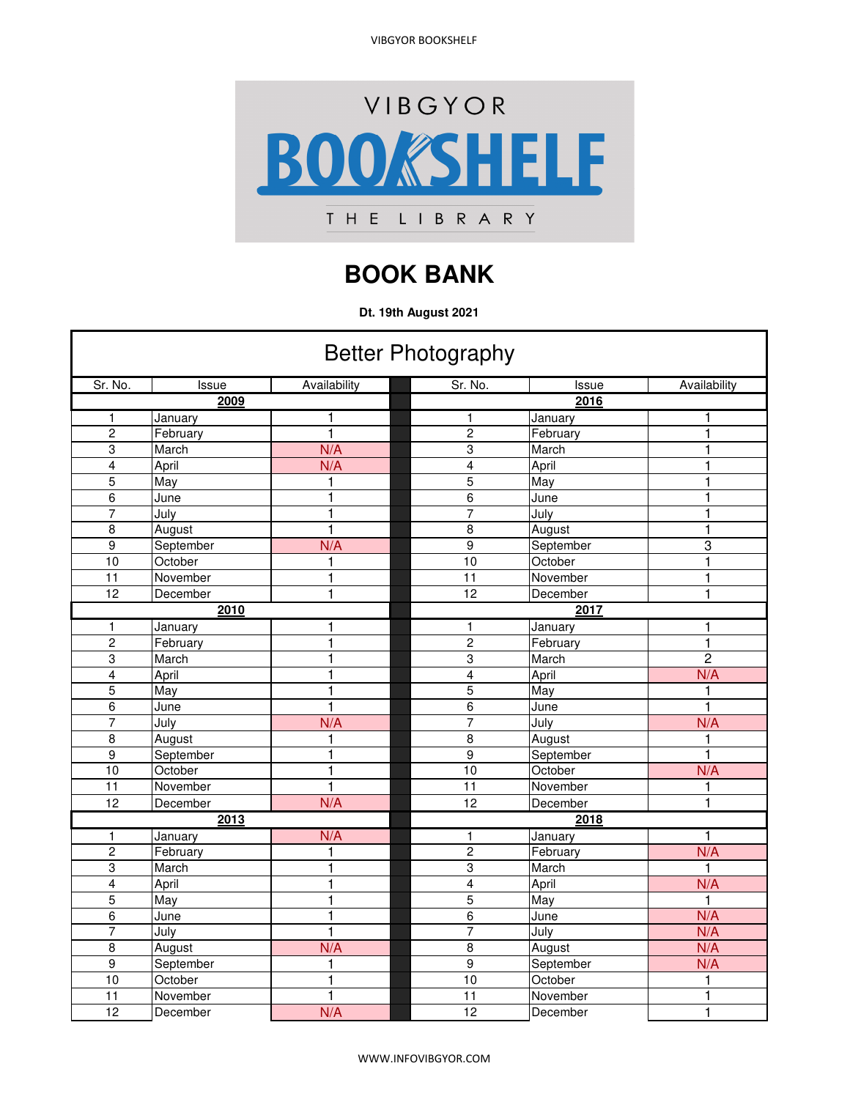VIBGYOR BOOKSHELF



## **BOOK BANK**

**Dt. 19th August 2021**

| <b>Better Photography</b> |           |              |  |                 |           |                |
|---------------------------|-----------|--------------|--|-----------------|-----------|----------------|
| Sr. No.                   | Issue     | Availability |  | Sr. No.         | Issue     | Availability   |
|                           | 2009      |              |  |                 | 2016      |                |
| 1                         | January   |              |  | 1               | January   | 1              |
| $\overline{2}$            | February  | 1            |  | $\overline{2}$  | February  | 1              |
| 3                         | March     | N/A          |  | 3               | March     | 1              |
| 4                         | April     | N/A          |  | 4               | April     | 1              |
| 5                         | May       | 1            |  | 5               | May       | 1              |
| $\overline{6}$            | June      | 1            |  | $\overline{6}$  | June      | 1              |
| 7                         | July      | 1            |  | $\overline{7}$  | July      | 1              |
| 8                         | August    | 1            |  | 8               | August    | 1              |
| 9                         | September | N/A          |  | 9               | September | 3              |
| 10                        | October   | 1            |  | 10              | October   | $\mathbf{1}$   |
| $\overline{11}$           | November  | 1            |  | $\overline{11}$ | November  | $\overline{1}$ |
| 12                        | December  | 1            |  | 12              | December  | 1              |
| 2010                      |           |              |  | 2017            |           |                |
| $\mathbf{1}$              | January   | 1            |  | 1               | January   | 1              |
| $\overline{c}$            | February  | $\mathbf{1}$ |  | $\overline{c}$  | February  | $\mathbf{1}$   |
| 3                         | March     | 1            |  | 3               | March     | $\overline{2}$ |
| $\overline{\mathbf{4}}$   | April     | 1            |  | 4               | April     | N/A            |
| 5                         | May       | 1            |  | 5               | May       | $\mathbf{1}$   |
| 6                         | June      | $\mathbf{1}$ |  | 6               | June      | $\mathbf{1}$   |
| $\overline{7}$            | July      | N/A          |  | $\overline{7}$  | July      | N/A            |
| 8                         | August    | 1            |  | 8               | August    | 1              |
| 9                         | September | 1            |  | 9               | September | $\mathbf{1}$   |
| $\overline{10}$           | October   | 1            |  | 10              | October   | N/A            |
| $\overline{11}$           | November  | 1            |  | $\overline{11}$ | November  | 1              |
| 12                        | December  | N/A          |  | 12              | December  | $\mathbf{1}$   |
|                           | 2013      |              |  |                 | 2018      |                |
| $\mathbf{1}$              | January   | N/A          |  | $\mathbf{1}$    | January   | 1              |
| $\boldsymbol{2}$          | February  | 1            |  | $\overline{c}$  | February  | N/A            |
| 3                         | March     | 1            |  | 3               | March     | 1              |
| $\overline{4}$            | April     | 1            |  | $\overline{4}$  | April     | N/A            |
| $\overline{5}$            | May       | 1            |  | 5               | May       | $\mathbf{1}$   |
| 6                         | June      | 1            |  | 6               | June      | N/A            |
| $\overline{7}$            | July      | 1            |  | $\overline{7}$  | July      | N/A            |
| 8                         | August    | N/A          |  | 8               | August    | N/A            |
| $\overline{9}$            | September | 1            |  | $\overline{9}$  | September | N/A            |
| 10                        | October   | 1            |  | 10              | October   | $\mathbf{1}$   |
| $\overline{11}$           | November  | 1            |  | $\overline{11}$ | November  | 1              |
| 12                        | December  | N/A          |  | 12              | December  | $\mathbf{1}$   |